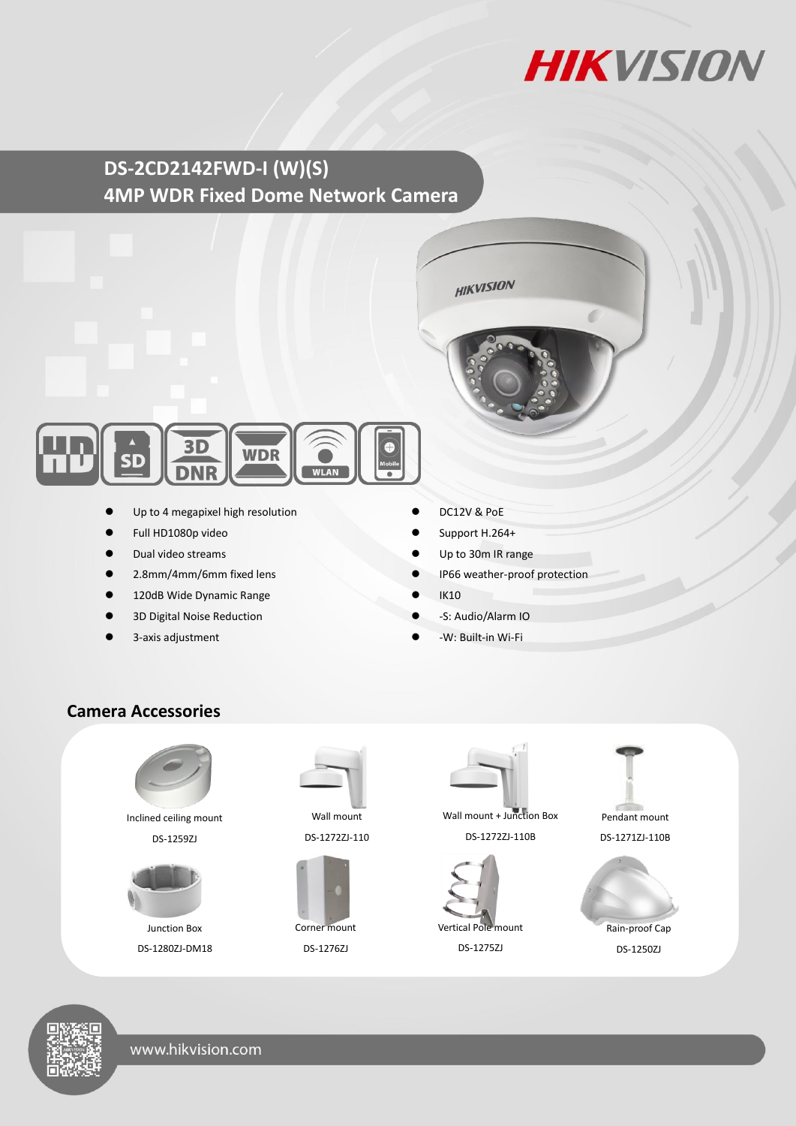

# **DS-2CD2142FWD-I (W)(S) 4MP WDR Fixed Dome Network Camera**



- Up to 4 megapixel high resolution
- Full HD1080p video
- Dual video streams
- 2.8mm/4mm/6mm fixed lens
- 120dB Wide Dynamic Range
- 3D Digital Noise Reduction
- 3-axis adjustment
- DC12V & PoE
- Support H.264+
- Up to 30m IR range

**HIKVISION** 

- IP66 weather-proof protection
- IK10
- -S: Audio/Alarm IO
- -W: Built-in Wi-Fi

### **Camera Accessories**



Inclined ceiling mount DS-1259ZJ



Junction Box DS-1280ZJ-DM18



DS-1272ZJ-110



DS-1276ZJ



Wall mount + Junction Box DS-1272ZJ-110B



DS-1275ZJ



DS-1271ZJ-110B



Rain-proof Cap DS-1250ZJ

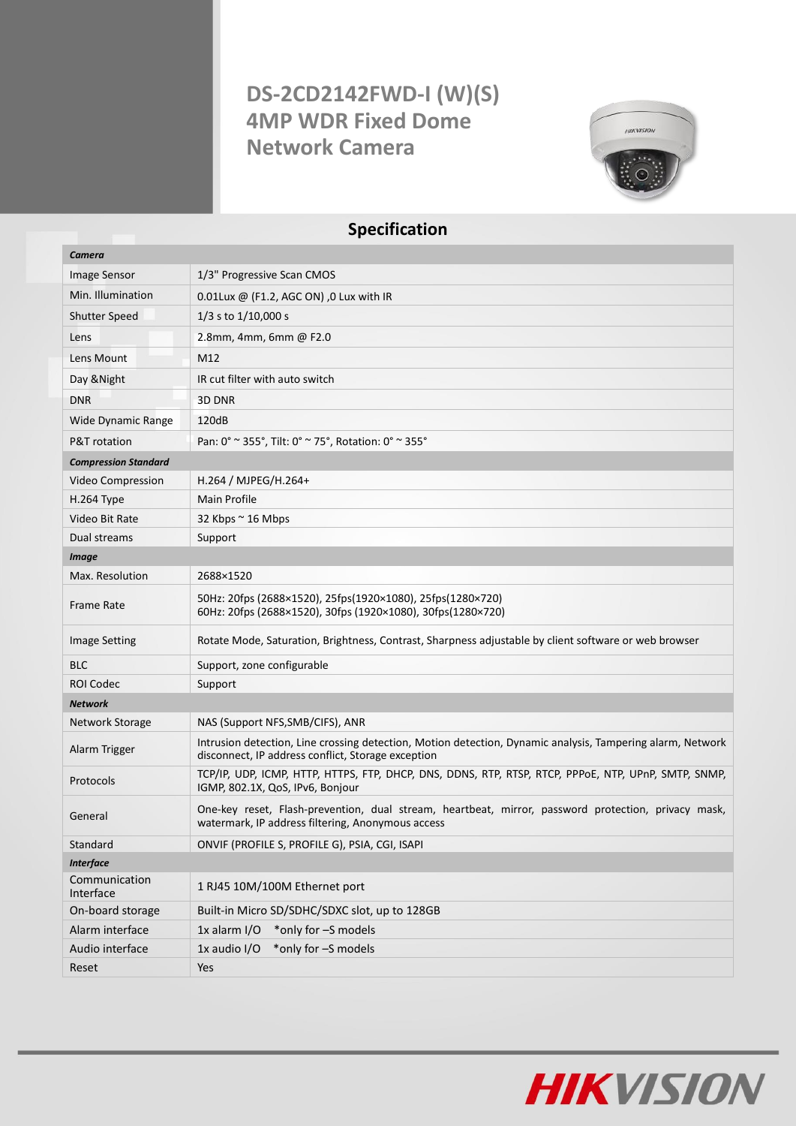# **DS-2CD2142FWD-I (W)(S) 4MP WDR Fixed Dome Network Camera**



## **Specification**

| Camera                      |                                                                                                                                                                  |
|-----------------------------|------------------------------------------------------------------------------------------------------------------------------------------------------------------|
| Image Sensor                | 1/3" Progressive Scan CMOS                                                                                                                                       |
| Min. Illumination           | 0.01Lux @ (F1.2, AGC ON), 0 Lux with IR                                                                                                                          |
| <b>Shutter Speed</b>        | $1/3$ s to $1/10,000$ s                                                                                                                                          |
| Lens                        | 2.8mm, 4mm, 6mm @ F2.0                                                                                                                                           |
| Lens Mount                  | M12                                                                                                                                                              |
| Day & Night                 | IR cut filter with auto switch                                                                                                                                   |
| <b>DNR</b>                  | 3D DNR                                                                                                                                                           |
| <b>Wide Dynamic Range</b>   | 120dB                                                                                                                                                            |
| P&T rotation                | Pan: 0° ~ 355°, Tilt: 0° ~ 75°, Rotation: 0° ~ 355°                                                                                                              |
| <b>Compression Standard</b> |                                                                                                                                                                  |
| Video Compression           | H.264 / MJPEG/H.264+                                                                                                                                             |
| H.264 Type                  | Main Profile                                                                                                                                                     |
| Video Bit Rate              | 32 Kbps $\sim$ 16 Mbps                                                                                                                                           |
| Dual streams                | Support                                                                                                                                                          |
| <b>Image</b>                |                                                                                                                                                                  |
| Max. Resolution             | 2688×1520                                                                                                                                                        |
| Frame Rate                  | 50Hz: 20fps (2688×1520), 25fps(1920×1080), 25fps(1280×720)<br>60Hz: 20fps (2688×1520), 30fps (1920×1080), 30fps(1280×720)                                        |
| <b>Image Setting</b>        | Rotate Mode, Saturation, Brightness, Contrast, Sharpness adjustable by client software or web browser                                                            |
| <b>BLC</b>                  | Support, zone configurable                                                                                                                                       |
| <b>ROI Codec</b>            | Support                                                                                                                                                          |
| <b>Network</b>              |                                                                                                                                                                  |
| Network Storage             | NAS (Support NFS, SMB/CIFS), ANR                                                                                                                                 |
| Alarm Trigger               | Intrusion detection, Line crossing detection, Motion detection, Dynamic analysis, Tampering alarm, Network<br>disconnect, IP address conflict, Storage exception |
| Protocols                   | TCP/IP, UDP, ICMP, HTTP, HTTPS, FTP, DHCP, DNS, DDNS, RTP, RTSP, RTCP, PPPOE, NTP, UPnP, SMTP, SNMP,<br>IGMP, 802.1X, QoS, IPv6, Bonjour                         |
| General                     | One-key reset, Flash-prevention, dual stream, heartbeat, mirror, password protection, privacy mask,<br>watermark, IP address filtering, Anonymous access         |
| Standard                    | ONVIF (PROFILE S, PROFILE G), PSIA, CGI, ISAPI                                                                                                                   |
| <b>Interface</b>            |                                                                                                                                                                  |
| Communication<br>Interface  | 1 RJ45 10M/100M Ethernet port                                                                                                                                    |
| On-board storage            | Built-in Micro SD/SDHC/SDXC slot, up to 128GB                                                                                                                    |
| Alarm interface             | $1x$ alarm $1/O$<br>*only for -S models                                                                                                                          |
| Audio interface             | *only for -S models<br>1x audio I/O                                                                                                                              |
| Reset                       | Yes                                                                                                                                                              |